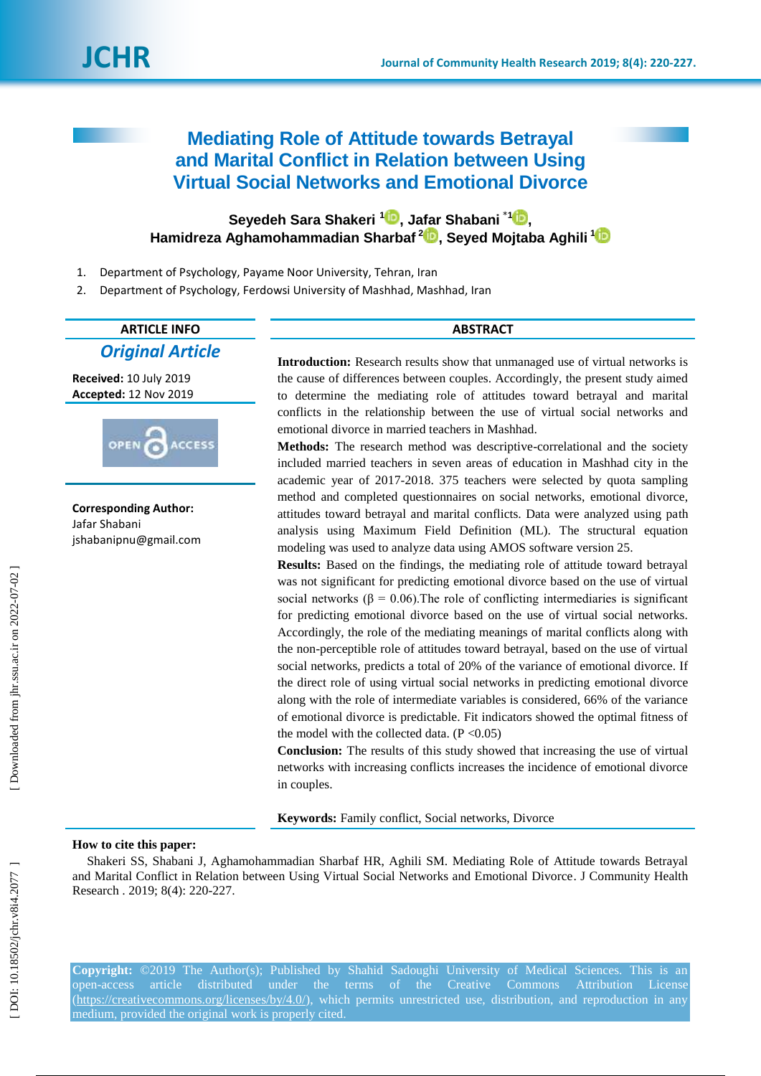# **Mediating Role of Attitude towards Betrayal and Marital Conflict in Relation between Using Virtual Social Networks and Emotional Divorce**

# **Seyedeh Sara Shakeri 1 [,](https://orcid.org/0000-0003-4029-1079) Jafar Shabani** \* **[1](https://orcid.org/0000-0002-4453-6662) , Hamidreza Aghamohammadian Sharbaf [2](https://orcid.org/0000-0002-4926-5347) , Seyed Mojtaba Aghili 1**

- 1 . Department of Psychology, Payame Noor University, Tehran, Iran
- $\overline{2}$ . Department of Psychology, Ferdowsi University of Mashhad, Mashhad, Iran

# **ARTICLE INFO ABSTRACT**

# *Original Article*

**Received:** 10 July 201 9 **Accepted:** 12 Nov 2019



**Corresponding Author:** Jafar Shabani jshabanipnu@gmail.com

**Introduction:** Research results show that unmanaged use of virtual networks is the cause of differences between couples. Accordingly, the present study aimed to determine the mediating role of attitudes toward betrayal and marital conflicts in the relationship between the use of virtual social networks and emotional divorce in married teachers in Mashhad.

Methods: The research method was descriptive-correlational and the society included married teachers in seven areas of education in Mashhad city in the academic year of 2017 -2018. 375 teachers were selected by quota sampling method and completed questionnaires on social networks, emotional divorce, attitudes toward betrayal and marital conflicts. Data were analyzed using path analysis using Maximum Field Definition (ML). The structural equation modeling was used to analyze data using AMOS software version 25.

**Results:** Based on the findings, the mediating role of attitude toward betrayal was not significant for predicting emotional divorce based on the use of virtual social networks ( $\beta = 0.06$ ). The role of conflicting intermediaries is significant for predicting emotional divorce based on the use of virtual social networks. Accordingly, the role of the mediating meanings of marital conflicts along with the non -perceptible role of attitudes toward betrayal, based on the use of virtual social networks, predicts a total of 20% of the variance of emotional divorce. If the direct role of using virtual social networks in predicting emotional divorce along with the role of intermediate variables is considered, 66% of the variance of emotional divorce is predictable. Fit indicators showed the optimal fitness of the model with the collected data.  $(P < 0.05)$ 

**Conclusion:** The results of this study showed that increasing the use of virtual networks with increasing conflicts increases the incidence of emotional divorce in couples.

**Keywords:** Family conflict, Social networks, Divorce

## **How to cite this paper:**

Shakeri SS, Shabani J, Aghamohammadian Sharbaf HR, Aghili SM. Mediating Role of Attitude towards Betrayal and Marital Conflict in Relation between Using Virtual Social Networks and Emotional Divorce. J Community Health Research . 2019; 8(4): 220 -227.

**Copyright:** ©2019 The Author(s); Published by Shahid Sadoughi University of Medical Sciences. This is an open-access article distributed under the terms of the Creative Commons Attribution License [\(https://creativecommons.org/licenses/by/4.0/\)](https://creativecommons.org/licenses/by/4.0/), which permits unrestricted use, distribution, and reproduction in any medium, provided the original work is properly cited.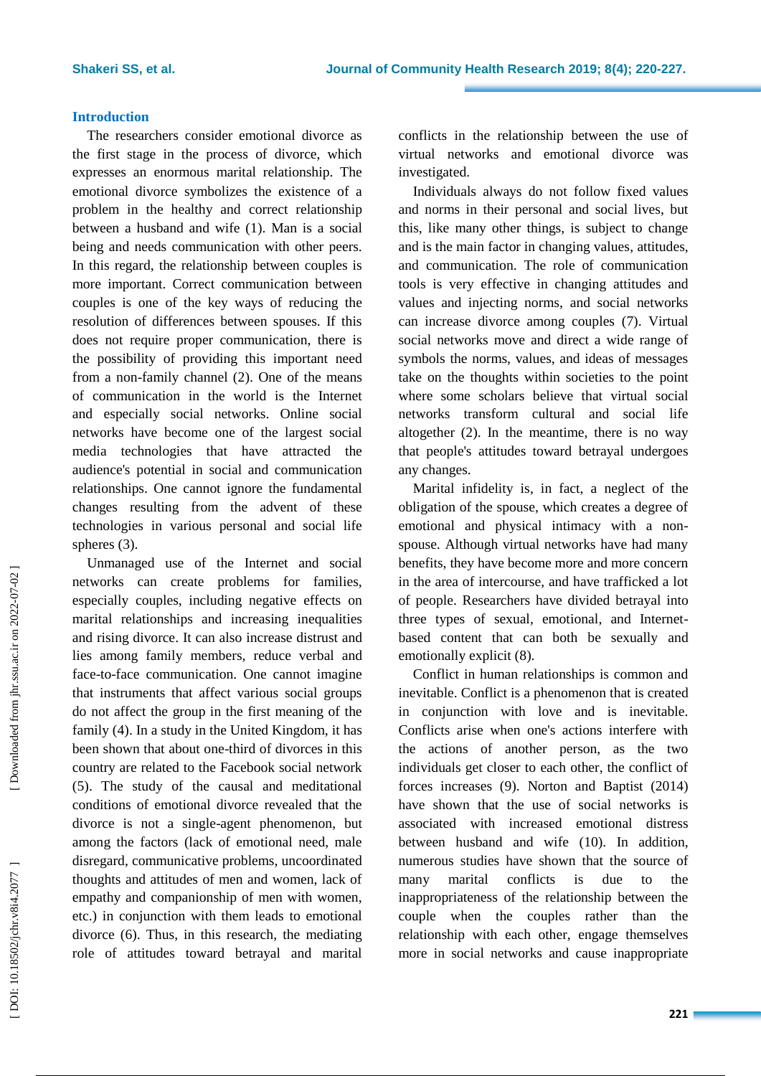## **Introduction**

The researchers consider emotional divorce as the first stage in the process of divorce, which expresses an enormous marital relationship. The emotional divorce symbolizes the existence of a problem in the healthy and correct relationship between a husband and wife ( 1). Man is a social being and needs communication with other peers. In this regard, the relationship between couples is more important. Correct communication between couples is one of the key ways of reducing the resolution of differences between spouses. If this does not require proper communication, there is the possibility of providing this important need from a non -family channel ( 2). One of the means of communication in the world is the Internet and especially social networks. Online social networks have become one of the largest social media technologies that have attracted the audience's potential in social and communication relationships. One cannot ignore the fundamental changes resulting from the advent of these technologies in various personal and social life spheres ( 3).

Unmanaged use of the Internet and social networks can create problems for families, especially couples, including negative effects on marital relationships and increasing inequalities and rising divorce. It can also increase distrust and lies among family members, reduce verbal and face -to -face communication. One cannot imagine that instruments that affect various social groups do not affect the group in the first meaning of the family ( 4). In a study in the United Kingdom, it has been shown that about one -third of divorces in this country are related to the Facebook social network (5). The study of the causal and meditational conditions of emotional divorce revealed that the divorce is not a single -agent phenomenon, but among the factors (lack of emotional need, male disregard, communicative problems, uncoordinated thoughts and attitudes of men and women, lack of empathy and companionship of men with women, etc.) in conjunction with them leads to emotional divorce ( 6 ) . Thus, in this research, the mediating role of attitudes toward betrayal and marital

conflicts in the relationship between the use of virtual networks and emotional divorce was investigated .

Individuals always do not follow fixed values and norms in their personal and social lives, but this, like many other things, is subject to change and is the main factor in changing values, attitudes, and communication. The role of communication tools is very effective in changing attitudes and values and injecting norms, and social networks can increase divorce among couples ( 7 ). Virtual social networks move and direct a wide range of symbols the norms, values, and ideas of messages take on the thoughts within societies to the point where some scholars believe that virtual social networks transform cultural and social life altogether ( 2). In the meantime, there is no way that people's attitudes toward betrayal undergoes any change s .

Marital infidelity is, in fact, a neglect of the obligation of the spouse, which creates a degree of emotional and physical intimacy with a non spouse. Although virtual networks have had many benefits, they have become more and more concern in the area of intercourse, and have trafficked a lot of people . Researchers have divided betrayal into three types of sexual, emotional, and Internet based content that can both be sexually and emotionally explicit (8).

Conflict in human relationships is common and inevitable. Conflict is a phenomenon that is created in conjunction with love and is inevitable. Conflicts arise when one's actions interfere with the actions of another person, as the two individuals get closer to each other, the conflict of forces increases ( 9). Norton and Baptist (2014) have shown that the use of social networks is associated with increased emotional distress between husband and wife (10). In addition, numerous studies have shown that the source of many marital conflicts is due to the inappropriateness of the relationship between the couple when the couples rather than the relationship with each other, engage themselves more in social networks and cause inappropriate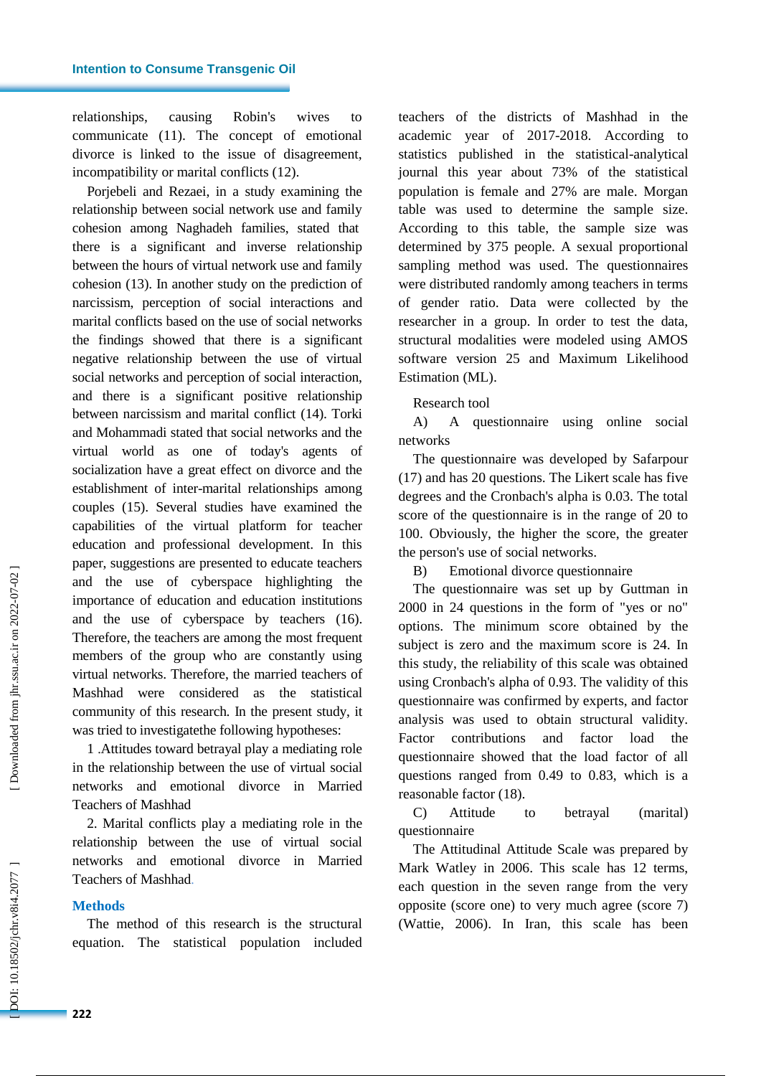relationships, causing Robin's wives to communicate (11). The concept of emotional divorce is linked to the issue of disagreement, incompatibility or marital conflicts (12).

Porjebeli and Rezaei, in a study examining the relationship between social network use and family cohesion among Naghadeh families, stated that there is a significant and inverse relationship between the hours of virtual network use and family cohesion (13). In another study on the prediction of narcissism, perception of social interactions and marital conflicts based on the use of social networks the findings showed that there is a significant negative relationship between the use of virtual social networks and perception of social interaction, and there is a significant positive relationship between narcissism and marital conflict (14). Torki and Mohammadi stated that social networks and the virtual world as one of today's agents of socialization have a great effect on divorce and the establishment of inter -marital relationships among couples (15). Several studies have examined the capabilities of the virtual platform for teacher education and professional development. In this paper, suggestions are presented to educate teachers and the use of cyberspace highlighting the importance of education and education institutions and the use of cyberspace by teachers (16). Therefore, the teachers are among the most frequent members of the group who are constantly using virtual networks. Therefore, the married teachers of Mashhad were considered as the statistical community of this research. In the present study, it was tried to investigatethe following hypotheses:

1 .Attitudes toward betrayal play a mediating role in the relationship between the use of virtual social networks and emotional divorce in Married Teachers of Mashhad

2. Marital conflicts play a mediating role in the relationship between the use of virtual social networks and emotional divorce in Married Teachers of Mashhad .

### **Method s**

The method of this research is the structural equation. The statistical population included teachers of the districts of Mashhad in the academic year of 2017 -2018. According to statistics published in the statistical -analytical journal this year about 73% of the statistical population is female and 27% are male. Morgan table was used to determine the sample size. According to this table, the sample size was determined by 375 people. A sexual proportional sampling method was used. The questionnaires were distributed randomly among teachers in terms of gender ratio. Data were collected by the researcher in a group. In order to test the data, structural modalities were modeled using AMOS software version 25 and Maximum Likelihood Estimation (ML).

## Research tool

A) A questionnaire using online social networks

The questionnaire was developed by Safarpour (17) and has 20 questions. The Likert scale has five degrees and the Cronbach's alpha is 0.03. The total score of the questionnaire is in the range of 20 to 100. Obviously, the higher the score, the greater the person's use of social networks.

B) Emotional divorce questionnaire

The questionnaire was set up by Guttman in 2000 in 24 questions in the form of "yes or no" options. The minimum score obtained by the subject is zero and the maximum score is 24. In this study, the reliability of this scale was obtained using Cronbach's alpha of 0.93. The validity of this questionnaire was confirmed by experts, and factor analysis was used to obtain structural validity. Factor contributions and factor load the questionnaire showed that the load factor of all questions ranged from 0.49 to 0.83, which is a reasonable factor (18).

C) Attitude to betrayal (marital) questionnaire

The Attitudinal Attitude Scale was prepared by Mark Watley in 2006. This scale has 12 terms, each question in the seven range from the very opposite (score one) to very much agree (score 7) (Wattie, 2006). In Iran, this scale has been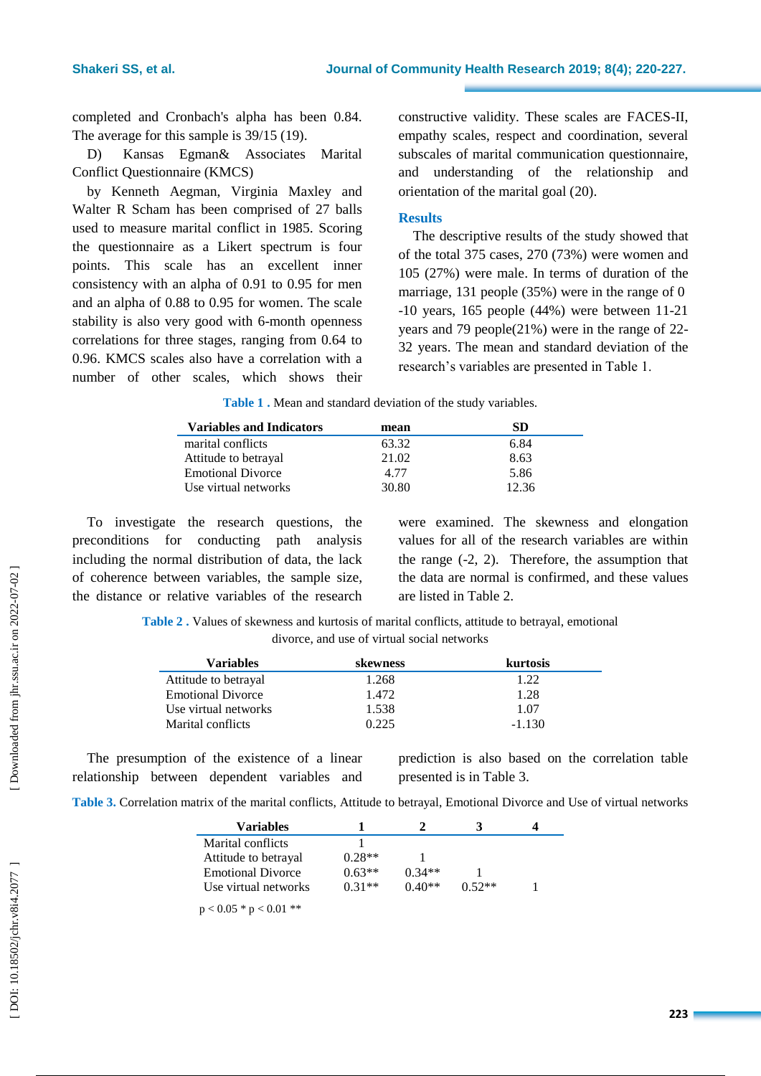completed and Cronbach's alpha has been 0.84. The average for this sample is 39/15 (19).

D) Kansas Egman& Associates Marital Conflict Questionnaire (KMCS)

by Kenneth Aegman, Virginia Maxley and Walter R Scham has been comprised of 27 balls used to measure marital conflict in 1985. Scoring the questionnaire as a Likert spectrum is four points. This scale has an excellent inner consistency with an alpha of 0.91 to 0.95 for men and an alpha of 0.88 to 0.95 for women. The scale stability is also very good with 6 -month openness correlations for three stages, ranging from 0.64 to 0.96. KMCS scales also have a correlation with a number of other scales, which shows their

constructive validity. These scales are FACES -II, empathy scales, respect and coordination, several subscales of marital communication questionnaire, and understanding of the relationship and orientation of the marital goal (20).

# **Results**

The descriptive results of the study showed that of the total 375 cases, 270 (73%) were women and 105 (27%) were male . In terms of duration of the marriage, 131 people (35%) were in the range of 0 -10 years, 165 people (44%) were between 11 -21 years and 79 people(21%) were in the range of 22 - 32 years . The mean and standard deviation of the research's variables are presented in Table 1.

**Table 1 .** Mean and standard deviation of the study variables .

| <b>Variables and Indicators</b> | mean  | SD    |
|---------------------------------|-------|-------|
| marital conflicts               | 63.32 | 6.84  |
| Attitude to betrayal            | 21.02 | 8.63  |
| <b>Emotional Divorce</b>        | 4.77  | 5.86  |
| Use virtual networks            | 30.80 | 12.36 |

To investigate the research questions, the preconditions for conducting path analysis including the normal distribution of data, the lack of coherence between variables, the sample size, the distance or relative variables of the research

were examined . The skewness and elongation values for all of the research variables are within the range ( -2, 2). Therefore, the assumption that the data are normal is confirmed, and these values are listed in Table 2 .

**Table 2 .** Values of skewness and kurtosis of marital conflicts, attitude to betrayal, emotional divorce, and use of virtual social networks

| <b>Variables</b>         | skewness | kurtosis |
|--------------------------|----------|----------|
| Attitude to betrayal     | 1.268    | 1.22     |
| <b>Emotional Divorce</b> | 1.472    | 1.28     |
| Use virtual networks     | 1.538    | 1.07     |
| Marital conflicts        | 0.225    | $-1.130$ |

The presumption of the existence of a linear relationship between dependent variables and

prediction is also based on the correlation table presented is in Table 3 .

| Variables                |          |          |          |  |
|--------------------------|----------|----------|----------|--|
| Marital conflicts        |          |          |          |  |
| Attitude to betrayal     | $0.28**$ |          |          |  |
| <b>Emotional Divorce</b> | $0.63**$ | $0.34**$ |          |  |
| Use virtual networks     | $0.31**$ | $0.40**$ | $0.52**$ |  |
| $p < 0.05 * p < 0.01 **$ |          |          |          |  |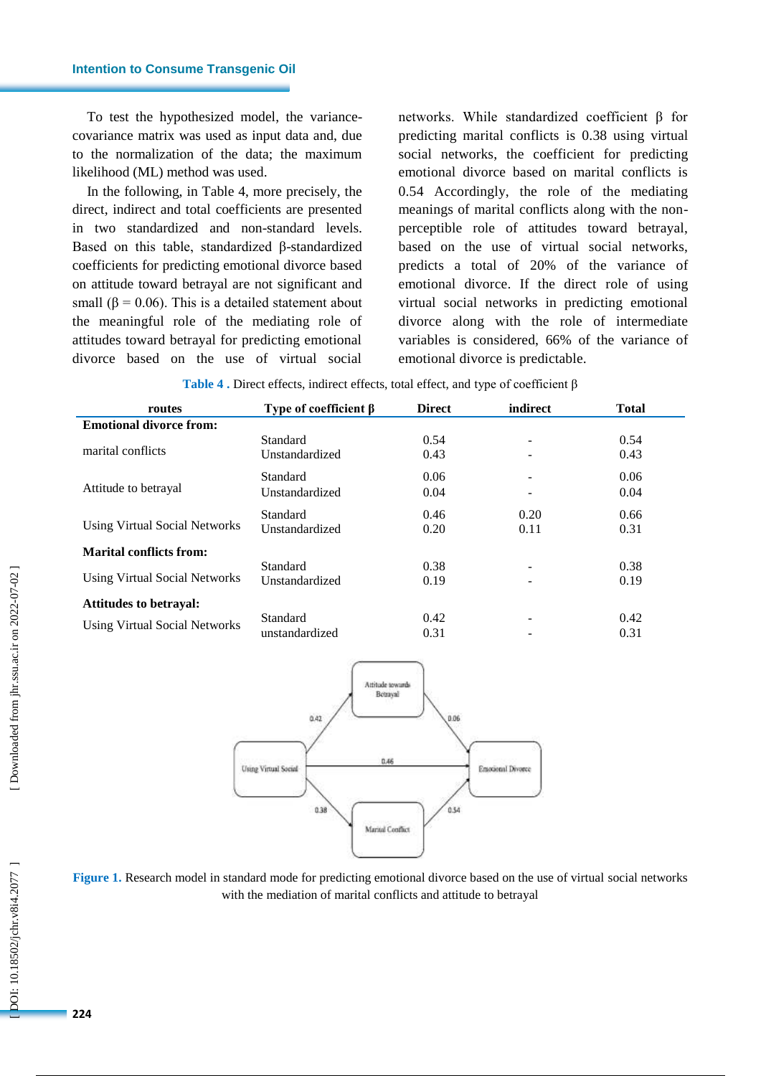To test the hypothesized model, the variance covariance matrix was used as input data and, due to the normalization of the data; the maximum likelihood (ML) method was used.

In the following, in Table 4, more precisely, the direct, indirect and total coefficients are presented in two standardized and non -standard levels. Based on this table, standardized β-standardized coefficients for predicting emotional divorce based on attitude toward betrayal are not significant and small ( $\beta$  = 0.06). This is a detailed statement about the meaningful role of the mediating role of attitudes toward betrayal for predicting emotional divorce based on the use of virtual social

networks. While standardized coefficient β for predicting marital conflicts is 0.38 using virtual social networks, the coefficient for predicting emotional divorce based on marital conflicts is 0.5 4 Accordingly, the role of the mediating meanings of marital conflicts along with the non perceptible role of attitudes toward betrayal, based on the use of virtual social networks, predicts a total of 20% of the variance of emotional divorce. If the direct role of using virtual social networks in predicting emotional divorce along with the role of intermediate variables is considered, 66% of the variance of emotional divorce is predictable.

| routes                               | Type of coefficient $\beta$ | <b>Direct</b> | indirect                 | <b>Total</b> |
|--------------------------------------|-----------------------------|---------------|--------------------------|--------------|
| <b>Emotional divorce from:</b>       |                             |               |                          |              |
|                                      | <b>Standard</b>             | 0.54          |                          | 0.54         |
| marital conflicts                    | Unstandardized              | 0.43          | -                        | 0.43         |
|                                      | Standard                    | 0.06          | ٠                        | 0.06         |
| Attitude to betrayal                 | Unstandardized              | 0.04          |                          | 0.04         |
|                                      | Standard                    | 0.46          | 0.20                     | 0.66         |
| Using Virtual Social Networks        | Unstandardized              | 0.20          | 0.11                     | 0.31         |
| <b>Marital conflicts from:</b>       |                             |               |                          |              |
|                                      | Standard                    | 0.38          | $\overline{\phantom{a}}$ | 0.38         |
| <b>Using Virtual Social Networks</b> | Unstandardized              | 0.19          |                          | 0.19         |
| <b>Attitudes to be trayal:</b>       |                             |               |                          |              |
|                                      | Standard                    | 0.42          | ۰                        | 0.42         |
| <b>Using Virtual Social Networks</b> | unstandardized              | 0.31          |                          | 0.31         |

|  |  |  | Table 4. Direct effects, indirect effects, total effect, and type of coefficient $\beta$ |
|--|--|--|------------------------------------------------------------------------------------------|
|--|--|--|------------------------------------------------------------------------------------------|



**Figure 1.** Research model in standard mode for predicting emotional divorce based on the use of virtual social networks with the mediation of marital conflicts and attitude to betrayal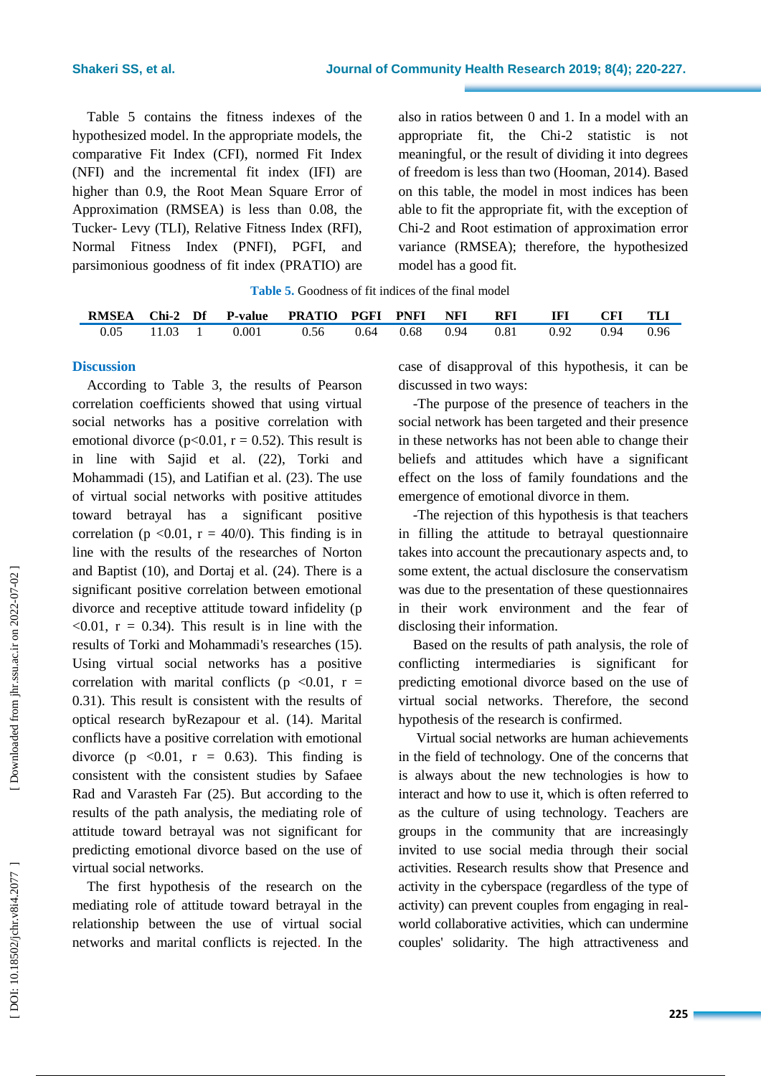Table 5 contains the fitness indexes of the hypothesized model. In the appropriate models, the comparative Fit Index (CFI), normed Fit Index (NFI) and the incremental fit index (IFI) are higher than 0.9, the Root Mean Square Error of Approximation (RMSEA) is less than 0.08, the Tucker - Levy (TLI), Relative Fitness Index (RFI), Normal Fitness Index (PNFI), PGFI, and parsimonious goodness of fit index (PRATIO) are

also in ratios between 0 and 1. In a model with an appropriate fit, the Chi -2 statistic is not meaningful, or the result of dividing it into degrees of freedom is less than two (Hooman, 2014). Based on this table, the model in most indices has been able to fit the appropriate fit, with the exception of Chi -2 and Root estimation of approximation error variance (RMSEA); therefore, the hypothesized model has a good fit.

| <b>Table 5.</b> Goodness of fit indices of the final model |
|------------------------------------------------------------|
|------------------------------------------------------------|

| <b>RMSEA</b> |                 |       | Chi-2 Df P-value PRATIO PGFI PNFI |      |      | <b>NFI</b> | <b>RFI</b> | IFI  | <b>CFI</b> | TLI  |
|--------------|-----------------|-------|-----------------------------------|------|------|------------|------------|------|------------|------|
| 0.05         | $11.03 \quad 1$ | 0.001 | 0.56                              | 0.64 | 0.68 | 0.94       | 0.81       | 0.92 | 0.94       | 0.96 |

## **Discussion**

According to Table 3, the results of Pearson correlation coefficients showed that using virtual social networks has a positive correlation with emotional divorce ( $p<0.01$ ,  $r = 0.52$ ). This result is in line with Sajid et al . (22), Torki and Mohammadi (15), and Latifian et al . (23). The use of virtual social networks with positive attitudes toward betrayal has a significant positive correlation ( $p \le 0.01$ ,  $r = 40/0$ ). This finding is in line with the results of the researches of Norton and Baptist (10), and Dortaj et al . (24 ). There is a significant positive correlation between emotional divorce and receptive attitude toward infidelity (p  $< 0.01$ ,  $r = 0.34$ ). This result is in line with the results of Torki and Mohammadi's researches (15). Using virtual social networks has a positive correlation with marital conflicts ( $p \le 0.01$ ,  $r =$ 0.31). This result is consistent with the results of optical research byRezapour et al . (14). Marital conflicts have a positive correlation with emotional divorce (p  $\langle 0.01, r = 0.63 \rangle$ ). This finding is consistent with the consistent studies by Safaee Rad and Varasteh Far (25). But according to the results of the path analysis, the mediating role of attitude toward betrayal was not significant for predicting emotional divorce based on the use of virtual social networks.

The first hypothesis of the research on the mediating role of attitude toward betrayal in the relationship between the use of virtual social networks and marital conflicts is rejected . In the case of disapproval of this hypothesis, it can be discussed in two ways:

-The purpose of the presence of teachers in the social network has been targeted and their presence in these networks has not been able to change their beliefs and attitudes which have a significant effect on the loss of family foundations and the emergence of emotional divorce in them.<br>-The rejection of this hypothesis is that teachers

in filling the attitude to betrayal questionnaire takes into account the precautionary aspects and, to some extent, the actual disclosure the conservatism was due to the presentation of these questionnaires in their work environment and the fear of disclosing their information.

Based on the results of path analysis, the role of conflicting intermediaries is significant for predicting emotional divorce based on the use of virtual social networks. Therefore, the second hypothesis of the research is confirmed.

Virtual social networks are human achievements in the field of technology. One of the concerns that is always about the new technologies is how to interact and how to use it, which is often referred to as the culture of using technology. Teachers are groups in the community that are increasingly invited to use social media through their social activities. Research results show that Presence and activity in the cyberspace (regardless of the type of activity) can prevent couples from engaging in real world collaborative activities, which can undermine couples' solidarity. The high attractiveness and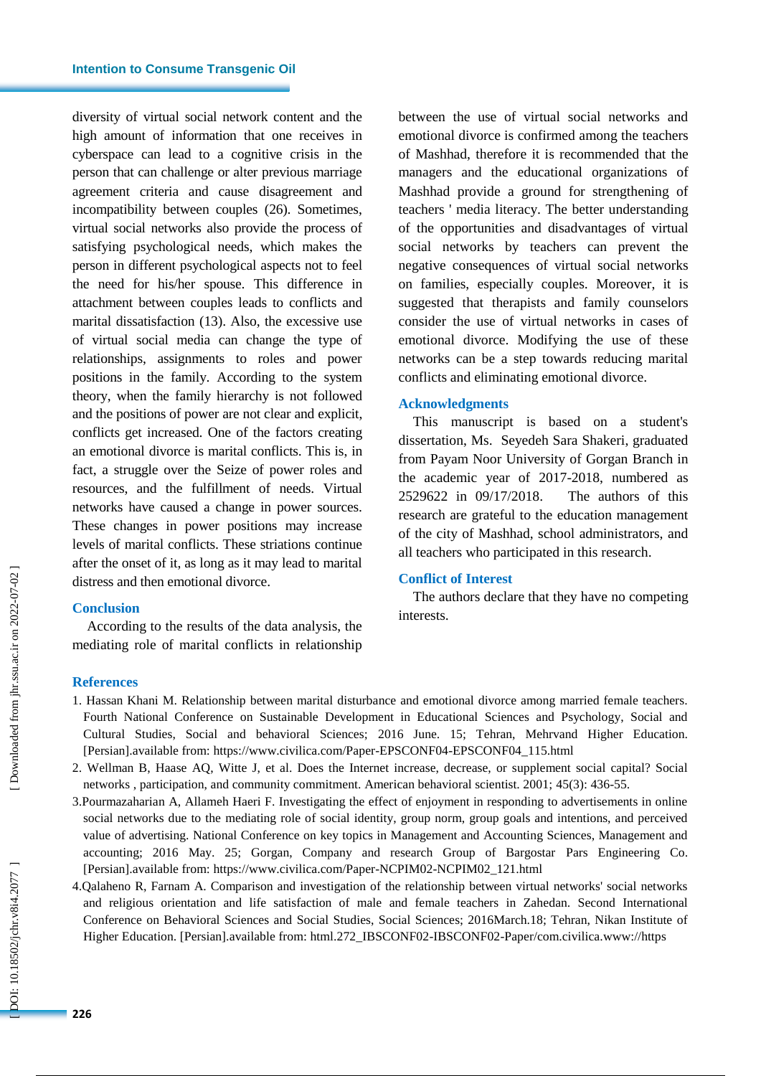#### **Intention to Consume Transgenic Oil**

diversity of virtual social network content and the high amount of information that one receives in cyberspace can lead to a cognitive crisis in the person that can challenge or alter previous marriage agreement criteria and cause disagreement and incompatibility between couples (26) . Sometimes, virtual social networks also provide the process of satisfying psychological needs, which makes the person in different psychological aspects not to feel the need for his/her spouse. This difference in attachment between couples leads to conflicts and marital dissatisfaction (13) . Also , the excessive use of virtual social media can change the type of relationships, assignments to roles and power positions in the family. According to the system theory, when the family hierarchy is not followed and the positions of power are not clear and explicit, conflicts get increased. One of the factors creating an emotional divorce is marital conflicts. This is, in fact, a struggle over the Seize of power roles and resources, and the fulfillment of needs. Virtual networks have caused a change in power sources. These changes in power positions may increase levels of marital conflicts. These striations continue after the onset of it, as long as it may lead to marital distress and then emotional divorce .

#### **Conclusion**

According to the results of the data analysis, the mediating role of marital conflicts in relationship between the use of virtual social networks and emotional divorce is confirmed among the teachers of Mashhad, therefore it is recommended that the managers and the educational organizations of Mashhad provide a ground for strengthening of teachers ' media literacy. The better understanding of the opportunities and disadvantages of virtual social networks by teachers can prevent the negative consequences of virtual social networks on families, especially couples. Moreover , it is suggested that therapists and family counselors consider the use of virtual networks in cases of emotional divorce. Modifying the use of these networks can be a step towards reducing marital conflicts and eliminating emotional divorce.

#### **Acknowledgment s**

This manuscript is based on a student's dissertation, Ms. Seyedeh Sara Shakeri, graduated from Payam Noor University of Gorgan Branch in the academic year of 2017 -2018, numbered as 2529622 in 09 /17 The authors of this research are grateful to the education management of the city of Mashhad, school administrators, and all teachers who participated in this research.

## **Conflict of Interest**

The authors declare that they have no competing interests.

#### **References**

- 1. Hassan Khani M. Relationship between marital disturbance and emotional divorce among married female teachers. Fourth National Conference on Sustainable Development in Educational Sciences and Psychology, Social and Cultural Studies, Social and behavioral Sciences; 2016 June. 15; Tehran, Mehrvand Higher Education. [Persian] .available from: https://www.civilica.com/Paper -EPSCONF04 -EPSCONF04\_115.html
- 2. Wellman B, Haase AQ, Witte J, et al. Does the Internet increase, decrease, or supplement social capital? Social networks , participation, and community commitment. American behavioral scientist. 2001; 45(3): 436 -55.
- 3.Pourmazaharian A, Allameh Haeri F. Investigating the effect of enjoyment in responding to advertisements in online social networks due to the mediating role of social identity, group norm, group goals and intentions, and perceived value of advertising. National Conference on key topics in Management and Accounting Sciences, Management and accounting; 2016 May. 25; Gorgan, Company and research Group of Bargostar Pars Engineering Co. [Persian].available from: https://www.civilica.com/Paper-NCPIM02-NCPIM02\_121.html
- 4.Qalaheno R, Farnam A. Comparison and investigation of the relationship between virtual networks' social networks and religious orientation and life satisfaction of male and female teachers in Zahedan. Second International Conference on Behavioral Sciences and Social Studies, Social Sciences; 2016March.18; Tehran, Nikan Institute of Higher Education. [Persian].available from : html.272\_IBSCONF02 -IBSCONF02 -Paper/com.civilica.www://https